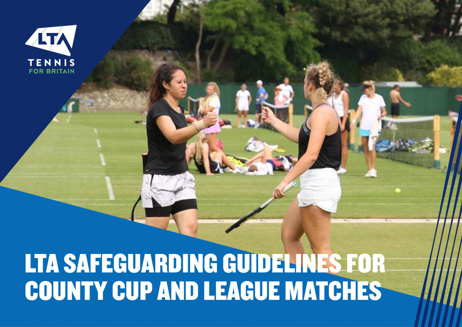

# LTA SAFEGUARDING GUIDELINES FOR COUNTY CUP AND LEAGUE MATCHES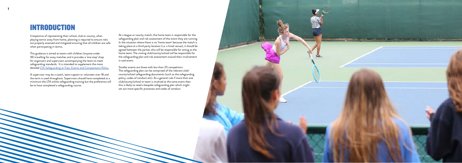### INTRODUCTION

Irrespective of representing their school, club or county, when playing tennis away from home, planning is required to ensure risks are properly assessed and mitigated ensuring that all children are safe when participating in tennis.

This guidance is aimed at teams with children (anyone under 18) travelling for away matches and it provides a 'one stop' shop for organisers and supervisors accompanying the team to meet safeguarding standards. It is intended to supplement the more detailed [LTA Safeguarding at Trips, Events and Competitions Policy](https://www.lta.org.uk/about-us/safeguarding-protection/).

A supervisor may be a coach, team captain or volunteer over 18 and the term is used throughout. Supervisors should have completed as a minimum the LTA online safeguarding training but the preference will be to have completed a safeguarding course.



At a league or county match, the home team is responsible for the safeguarding plan and risk assessment of the event they are running. In the situation where there is no 'home team' because the match is taking place at a third party location (i.e. a hired venue), it should be agreed between the parties who will be responsible for acting as the home team. The visiting club/county/school will be responsible for the safeguarding plan and risk assessment around their involvement in said event.

Smaller events are those with less than 20 competitors. The safeguarding plan can be comprised of the relevant club/ county/school safeguarding documents (such as the safeguarding policy, codes of conduct etc). As a general rule if more than one club/county/school or team is involved at the same event then this is likely to need a bespoke safeguarding plan which might set out more specific processes and codes of conduct.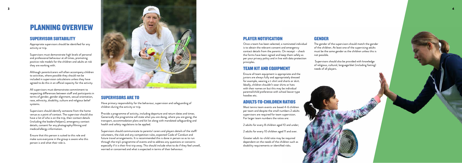## PLANNING OVERVIEW

### SUPERVISOR SUITABILITY

Appropriate supervisors should be identified for any activity or trip.

Supervisors must demonstrate high levels of personal and professional behaviour at all times, promoting positive role models for the children and adults at risk they are working with.

Although parents/carers will often accompany children to activities, where possible they should not be included in supervision calculations unless they have agreed to do this in an official capacity for the activity.

All supervisors must demonstrate commitment to respecting differences between staff and participants in terms of gender, gender alignment, sexual orientation, race, ethnicity, disability, culture and religious belief systems.

Supervisors should identify someone from the home venue as a point of contact. The supervisor should also have a list of who is on the trip, their contact details (including the leaders/helpers), emergency contact details, consent for any photography/filming and medical/allergy information.

Ensure that this person is suited to this role and make sure everyone in the group is aware who this person is and what their role is.



#### PLAYER NOTIFICATION

Once a team has been selected, a nominated individual is to obtain the relevant consent and emergency contact details from the parents. On receipt – check the forms have been signed and keep them safely as per your privacy policy and in line with data protection principles.

### TEAM KIT AND EQUIPMENT

Ensure all team equipment is appropriate and the juniors are always fully and appropriately dressed for example, wearing a t-shirt and shorts or skirt. Ideally, children shouldn't wear shirts or hats with their names on but this may be individual parental/child preference with school leaver type hoodies etc.

#### ADULTS-TO-CHILDREN RATIOS

Most tennis team events are based 4-6 children per team and despite the small numbers 2 adults supervisors are required for team supervision. For larger team numbers the ratios are:

2 adults for every 8 children aged 10 and under;

2 adults for every 10 children aged 11 and over.

Greater adult-to-child ratio may be required dependent on the needs of the children such as disability requirements or identified risks.

#### SUPERVISORS ARE TO

Have primary responsibility for the behaviour, supervision and safeguarding of children during the activity or trip.

Provide a programme of activity, including departure and return dates and times. Generically the programme will state what you are doing, where you are going, the transport, accommodation plans and kit list along with mandated safeguarding and health and safety regulations to be applied.

Supervisors should communicate to parents/ carers and players details of the staff/ volunteers, the club and any competition rules, expected Code of Conduct and future travel arrangements. It is recommended this is done in person so as to run through the trip's programme of events and to address any questions or concerns especially if it is their first trip away. This should include what to do if they feel unwell, worried or concerned and what is expected in terms of their behaviour.

#### GENDER

The gender of the supervisors should match the gender of the children. At least one of the supervising adults must be the same gender as the children unless this is not possible.

 Supervisors should also be provided with knowledge of religious, cultural, language/diet (including fasting) needs of all players.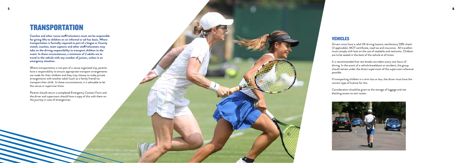### **TRANSPORTATION**

**Coaches and other venue staff/volunteers must not be responsible for giving lifts to children on an informal or ad-hoc basis. Where transportation is formally required as part of a league or County match, coaches, team captains and other staff/volunteers may take on the driving responsibility to transport children to the event. In these circumstances, a minimum of 2 adults are to travel in the vehicle with any number of juniors, unless in an emergency situation.**

Where transportation is not part of a venue organised trip, parents have a responsibility to ensure appropriate transport arrangements are made for their children and they may choose to make private arrangements with another adult (such as a family friend) to transport their child. In these circumstances, it is advisable to let the venue or supervisor know.

Parents should return a completed Emergency Contact Form and the driver and supervisors should have a copy of this with them on the journey in case of emergencies.

#### VEHICLES

Drivers must have a valid UK driving licence, satisfactory DBS check (if applicable), MOT certificate, road tax and insurance. All travellers must comply with laws on the use of seatbelts and restraints. Children are to be seated in the back of the vehicle at all times.

It is recommended that rest breaks are taken every two hours of driving. In the event of a vehicle breakdown or accident, the group should remain under the direct supervision of the supervisors wherever possible.

If transporting children in a mini-bus or bus, the driver must have the correct type of licence for this.

Consideration should be given to the storage of luggage and not blocking access to exit routes.



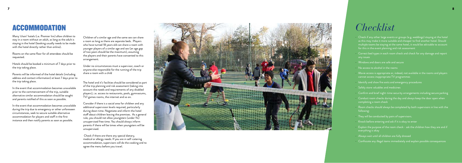### ACCOMMODATION

Many 'chain' hotels (i.e. Premier Inn) allow children to stay in a room without an adult, as long as the adult is staying in the hotel (booking usually needs to be made with the hotel directly rather than online).

Rooms on the same floor for all attendees should be requested.

Hotels should be booked a minimum of 7 days prior to the trip taking place.

Parents will be informed of the hotel details (including address and contact information) at least 7 days prior to the trip taking place.

- Check if any other large events or groups (e.g. weddings) staying at the hotel as this may make it more suitable and cheaper to find another hotel. Should multiple teams be staying at the same hotel, it would be advisable to account for this in the event planning and risk assessment
- Correct bed types in each room check and check for any damage and report any issues
- Windows and doors are safe and secure
- No access to alcohol in the rooms
- Movie access is appropriate or, indeed, not available in the rooms and players cannot access inappropriate TV programmes
- Identify and show fire exits and emergency procedures<br>- Safely store valuables and medicines
- 
- Confirm and brief night-time security arrangements including secure parking
- Conduct room checks during the day and always keep the door open when completing a room check
- Room checks should always be completed by both supervisors in line with the following:
- They will be conducted by pairs of supervisors.<br>- Knock before entering and ask if it is okay to enter
- 
- Explain the purpose of the room check ask the children how they are and if everything is okay
- Always wait until all children are fully dressed
- Confiscate any illegal items immediately and explain possible consequences

In the event that accommodation becomes unavailable prior to the commencement of the trip, suitable alternative similar accommodation should be sought and parents notified of this as soon as possible.

In the event that accommodation becomes unavailable during the trip due to emergency or other unforeseen circumstances, seek to secure suitable alternative accommodation for players and staff in the first instance and then notify parents as soon as possible.

## *Checklist*

The hotel and it's facilities should be considered as part of the trip planning and risk assessment (taking into account the needs and requirements of any disabled players), i.e. access to restaurants, pools, gymnasiums, TV/ games rooms, the internet and so on.

Consider if there is a social area for children and any additional supervision levels required, particularly during down time. Negotiate and inform the hotel staff about children leaving the premises. As a general rule, you should not allow youngsters (under 11s) unsupervised free time. You should always inform parents if there will be times when youngsters will be unsupervised.

 Check if there are there any special dietary, medical or allergy needs. If you are in self-catering accommodation, supervisors will do the cooking and to agree the menu before you travel.



Children of a similar age and the same sex can share a room as long as there are separate beds. Players who have turned 18 years old can share a room with younger players of a similar age and sex (an age gap of two years should be the maximum), assuming the players and their parents have consented to this arrangement.

Under no circumstances must a supervisor, coach or anyone else responsible for the running of the trip share a room with a child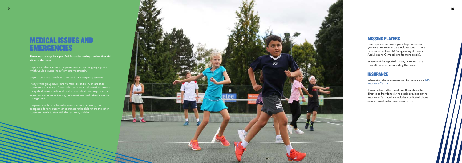Supervisors should ensure the players are not carrying any injuries which would prevent them from safely competing.

Supervisors must know how to contact the emergency services.

### MEDICAL ISSUES AND **EMERGENCIES**

**There must always be a qualified first aider and up-to-date first aid kit with the team.**

If a player needs to be taken to hospital in an emergency, it is acceptable for one supervisor to transport the child where the other supervisor needs to stay with the remaining children.

If any of the group have a known medical condition, ensure that supervisors are aware of how to deal with potential situations. Assess if any children with additional health needs/disabilities require extra supervisors or bespoke training such as asthma medication/ diabetes management.

#### MISSING PLAYERS

Ensure procedures are in place to provide clear guidance how supervisors should respond in these circumstances (see LTA Safeguarding at Events, Activities and Competitions for more details).

When a child is reported missing, allow no more than 20 minutes before calling the police.

#### INSURANCE

Information about insurance can be found on the  $LTA$ [Insurance Centre.](http://www.lta-insurance-centre.com/)

If anyone has further questions, these should be directed to Howdens via the details provided on the Insurance Centre, which includes a dedicated phone number, email address and enquiry form.

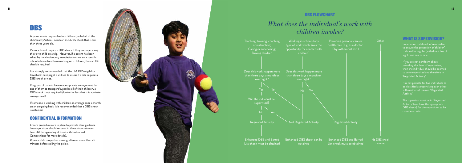#### CONFIDENTIAL INFORMATION

Ensure procedures are in place to provide clear guidance how supervisors should respond in these circumstances (see LTA Safeguarding at Events, Activities and Competitions for more details).

When a child is reported missing, allow no more than 20 minutes before calling the police.

### DBS

Anyone who is responsible for children (on behalf of the club/county/school) needs an LTA DBS check that is less than three years old.

Parents do not require a DBS check if they are supervising their own child on a trip. However, if a parent has been asked by the club/county association to take on a specific role which involves them working with children, then a DBS check is required.

It is strongly recommended that the LTA DBS eligibility flowchart (next page) is utilised to assess if a role requires a DBS check or not.

If a group of parents have made a private arrangement for one of them to transport/supervise all of their children, a DBS check is not required (due to the fact that it is a private arrangement).

Supervision is defined as 're<u>asonable</u> to ensure the protection of children'. It should be regular (with direct line of sight) and day to day.

If someone is working with children on average once a month on an on-going basis, it is recommended that a DBS check is obtained.

It is not possible for two individuals to be classified as supervising each other with neither of them in 'Regulated Activity'.

### *What does the individual's work with children involve?*

#### DBS FLOWCHART



#### WHAT IS SUPERVISION?

If you are not confident about providing this level of supervision, then the individual should be deemed to be unsupervised and therefore in 'Regulated Activity'.

The supervisor must be in 'Regulated Activity' (and have the appropriate DBS check) for the supervision to be considered valid.

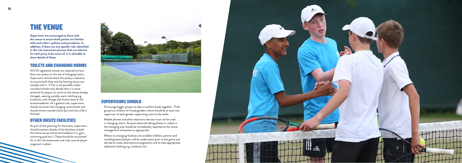### THE VENUE

**Supervisors are encouraged to liaise with the venue to ensure both parties are familiar with each other's policies and procedures. In addition, if there are any specific risks identified in the risk assessment process that are relevant for each party to be aware of, it is advisable to share details of these.**

#### TOILETS AND CHANGING ROOMS

All LTA registered venues are required to have their own policy on the use of changing rooms. Supervisors should check this policy in advance to ensure both they and the hosting venue can comply with it. If this is not possible, clubs/ counties/schools may decide that it is more practical for players to come to the venue already changed, wearing suitably warm clothing e.g. tracksuits, and change and shower back at the accommodation. As a general rule, supervisors should not enter the changing rooms/toilet and should remain outside (close by) until the child is finished.

### OTHER ONSITE FACILITIES

As part of the planning for the event, supervisors should ascertain details of the facilities at both the home venue and accommodation (i.e. gym, swimming pool etc.). These should be accounted for in the risk assessment and rules around player usage put in place.



#### SUPERVISORS SHOULD

- Encourage bigger groups to take a comfort break together. If the group has children of mixed genders, there should be at least one supervisor of each gender supervising visits to the toilet.
- Mobile phones and other electronic devices must not be used in changing rooms. Anyone observed taking photos or videos in the changing area should be immediately reported to the venue management and police as appropriate.
- Where no changing facilities are available children, parents and travelling teams/players will be made aware prior to the game and advised to make alternative arrangements and to take appropriate additional clothing e.g. tracksuits etc

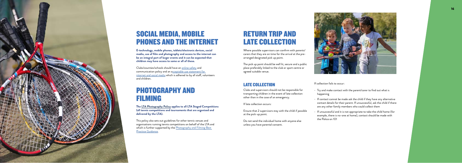

### SOCIAL MEDIA, MOBILE PHONES AND THE INTERNET

**E-technology, mobile phones, tablets/electronic devices, social media, use of film and photography and access to the internet can be an integral part of larger events and it can be expected that children may have access to some or all of these.** 

Clubs/counties/schools should have an [online safety](https://www.lta.org.uk/globalassets/about-lta/safeguarding/county-standards/online-safety-and-communication-policy.docx) and communication policy and an [acceptable use statement for](https://www.lta.org.uk/globalassets/about-lta/safeguarding/county-standards/acceptable-use-statement-for-internet-and-social-media-use.docx)  [internet and social media](https://www.lta.org.uk/globalassets/about-lta/safeguarding/county-standards/acceptable-use-statement-for-internet-and-social-media-use.docx) which is adhered to by all staff, volunteers and children.

### PHOTOGRAPHY AND FILMING

**The [LTA Photography Policy](https://www.lta.org.uk/globalassets/about-lta/safeguarding/lta-photography-policy-final.pdf) applies to all LTA Staged Competitions (all tennis competitions and tournaments that are organised and delivered by the LTA).**

This policy also sets out guidelines for other tennis venues and organisations running tennis competitions on behalf of the LTA and which is further supported by the **Photography and Filming Best** [Practice Guidance](https://www.lta.org.uk/globalassets/about-lta/safeguarding/county-standards/photography-and-filming-best-practice-guidance.docx).

### RETURN TRIP AND LATE COLLECTION

Where possible supervisors can confirm with parents/ carers that they are on time for the arrival at the prearranged designated pick up point.

The pick up point should be well lit, secure and a public place preferably linked to the club or sport centre or agreed suitable venue.

### LATE COLLECTION

Clubs and supervisors should not be responsible for transporting children in the event of late collection other than in the case of an emergency.

If late collection occurs:

- Ensure that 2 supervisors stay with the child if possible at the pick-up point.
- Do not send the individual home with anyone else unless you have parental consent.



If collection fails to occur:

- Try and make contact with the parent/carer to find out what is happening
- If contact cannot be made ask the child if they have any alternative contact details for their parent. If unsuccessful, ask the child if there are any other family members who could collect them
- If unsuccessful and it is not appropriate to take the child home (for example, there is no-one at home), contact should be made with the Police on 101